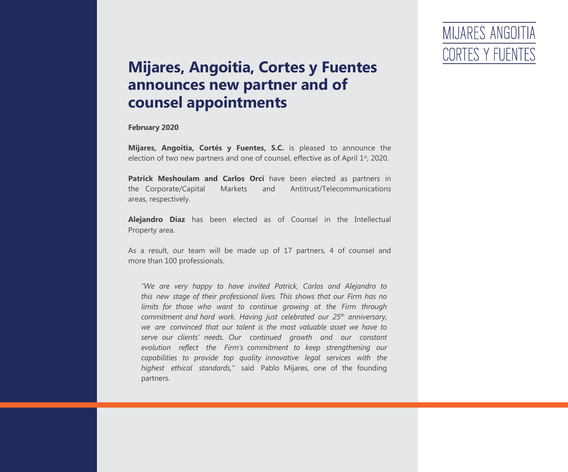*"We are very happy to have invited Patrick, Carlos and Alejandro to this new stage of their professional lives. This shows that our Firm has no limits for those who want to continue growing at the Firm through commitment and hard work. Having just celebrated our 25th anniversary, we are convinced that our talent is the most valuable asset we have to serve our clients' needs. Our continued growth and our constant evolution reflect the Firm's commitment to keep strengthening our capabilities to provide top quality innovative legal services with the highest ethical standards,"* said Pablo Mijares, one of the founding partners.

### MIJARES ANGOITIA CORTES Y FUENTES

**Mijares, Angoitia, Cortés y Fuentes, S.C.** is pleased to announce the election of two new partners and one of counsel, effective as of April 1<sup>st</sup>, 2020.

#### **Mijares, Angoitia, Cortes y Fuentes announces new partner and of counsel appointments**

**February 2020**

**Patrick Meshoulam and Carlos Orcí** have been elected as partners in the Corporate/Capital Markets and Antitrust/Telecommunications areas, respectively.

**Alejandro Díaz** has been elected as of Counsel in the Intellectual Property area.

As a result, our team will be made up of 17 partners, 4 of counsel and more than 100 professionals.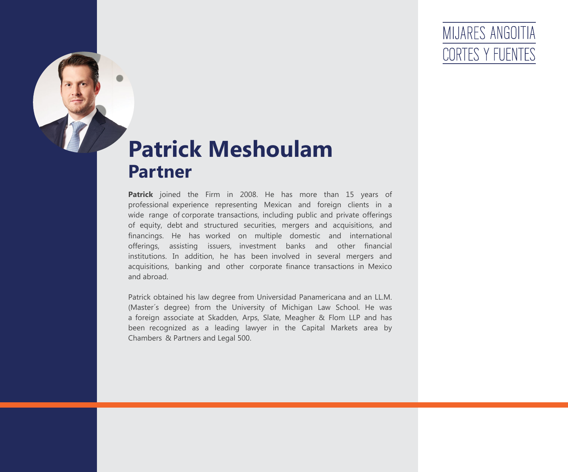**Patrick** joined the Firm in 2008. He has more than 15 years of professional experience representing Mexican and foreign clients in a wide range of corporate transactions, including public and private offerings of equity, debt and structured securities, mergers and acquisitions, and financings. He has worked on multiple domestic and international offerings, assisting issuers, investment banks and other financial institutions. In addition, he has been involved in several mergers and acquisitions, banking and other corporate finance transactions in Mexico and abroad.

Patrick obtained his law degree from Universidad Panamericana and an LL.M. (Master´s degree) from the University of Michigan Law School. He was a foreign associate at Skadden, Arps, Slate, Meagher & Flom LLP and has been recognized as a leading lawyer in the Capital Markets area by Chambers & Partners and Legal 500.

### MIJARES ANGOITIA CORTES Y FUENT

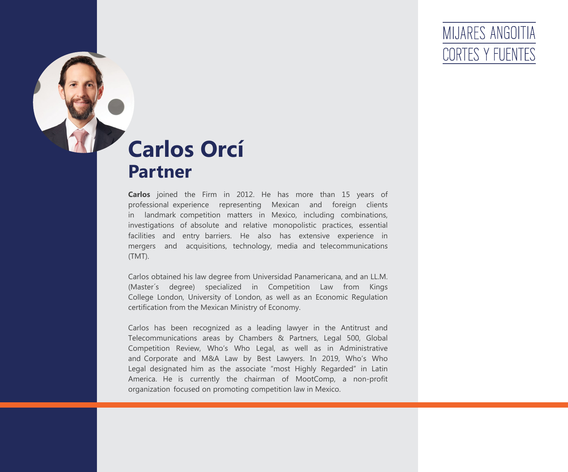**Carlos** joined the Firm in 2012. He has more than 15 years of professional experience representing Mexican and foreign clients in landmark competition matters in Mexico, including combinations, investigations of absolute and relative monopolistic practices, essential facilities and entry barriers. He also has extensive experience in mergers and acquisitions, technology, media and telecommunications (TMT).

Carlos obtained his law degree from Universidad Panamericana, and an LL.M. (Master´s degree) specialized in Competition Law from Kings College London, University of London, as well as an Economic Regulation certification from the Mexican Ministry of Economy.

Carlos has been recognized as a leading lawyer in the Antitrust and Telecommunications areas by Chambers & Partners, Legal 500, Global Competition Review, Who's Who Legal, as well as in Administrative and Corporate and M&A Law by Best Lawyers. In 2019, Who's Who Legal designated him as the associate "most Highly Regarded" in Latin America. He is currently the chairman of MootComp, a non-profit organization focused on promoting competition law in Mexico.

### MIJARES ANGOITIA CORTES Y FUENTES



# **Carlos Orcí Partner**